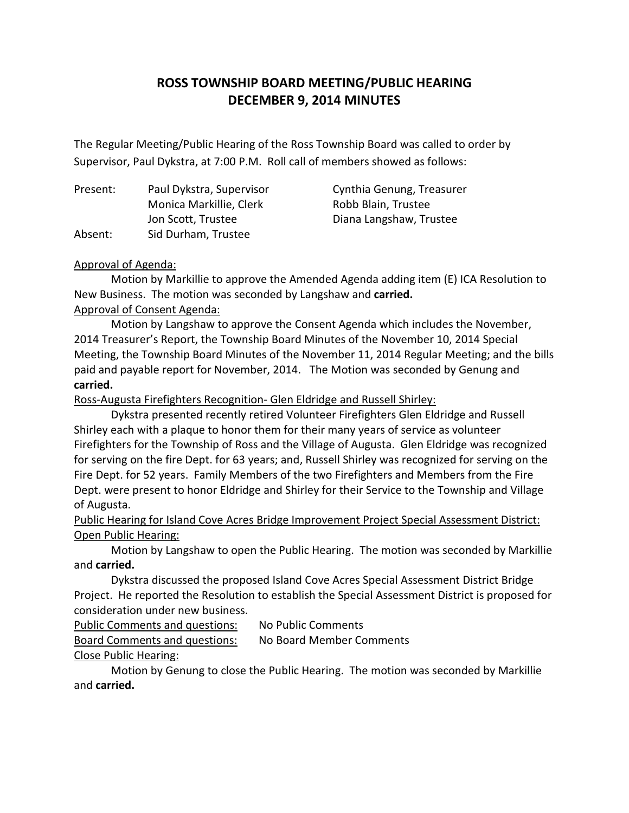# **ROSS TOWNSHIP BOARD MEETING/PUBLIC HEARING DECEMBER 9, 2014 MINUTES**

 The Regular Meeting/Public Hearing of the Ross Township Board was called to order by Supervisor, Paul Dykstra, at 7:00 P.M. Roll call of members showed as follows:

Present: Ahsent: Monica Markillie, Clerk Robb Blain, Trustee Jon Scott, Trustee **Diana Langshaw, Trustee** Sid Durham, Trustee

Paul Dykstra, Supervisor Cynthia Genung, Treasurer

#### Approval of Agenda:

 Motion by Markillie to approve the Amended Agenda adding item (E) ICA Resolution to New Business. The motion was seconded by Langshaw and **carried.**  Approval of Consent Agenda:

 Motion by Langshaw to approve the Consent Agenda which includes the November, 2014 Treasurer's Report, the Township Board Minutes of the November 10, 2014 Special Meeting, the Township Board Minutes of the November 11, 2014 Regular Meeting; and the bills paid and payable report for November, 2014. The Motion was seconded by Genung and **carried.** 

Ross-Augusta Firefighters Recognition- Glen Eldridge and Russell Shirley:

 Dykstra presented recently retired Volunteer Firefighters Glen Eldridge and Russell Shirley each with a plaque to honor them for their many years of service as volunteer Firefighters for the Township of Ross and the Village of Augusta. Glen Eldridge was recognized for serving on the fire Dept. for 63 years; and, Russell Shirley was recognized for serving on the Fire Dept. for 52 years. Family Members of the two Firefighters and Members from the Fire Dept. were present to honor Eldridge and Shirley for their Service to the Township and Village of Augusta.

Public Hearing for Island Cove Acres Bridge Improvement Project Special Assessment District: **Open Public Hearing:** 

 Motion by Langshaw to open the Public Hearing. The motion was seconded by Markillie and **carried.** 

 Dykstra discussed the proposed Island Cove Acres Special Assessment District Bridge Project. He reported the Resolution to establish the Special Assessment District is proposed for consideration under new business.

Public Comments and questions: No Public Comments Board Comments and questions: No Board Member Comments Close Public Hearing:

 Motion by Genung to close the Public Hearing. The motion was seconded by Markillie and **carried.**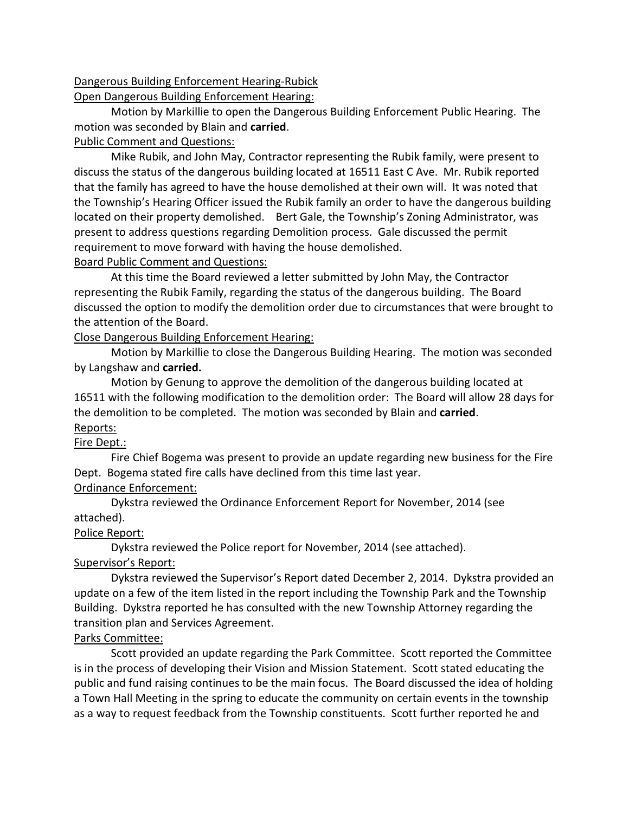# Dangerous Building Enforcement Hearing-Rubick

Open Dangerous Building Enforcement Hearing:

 Motion by Markillie to open the Dangerous Building Enforcement Public Hearing. The motion was seconded by Blain and **carried**.

## Public Comment and Questions:

 discuss the status of the dangerous building located at 16511 East C Ave. Mr. Rubik reported that the family has agreed to have the house demolished at their own will. It was noted that the Township's Hearing Officer issued the Rubik family an order to have the dangerous building located on their property demolished. Bert Gale, the Township's Zoning Administrator, was present to address questions regarding Demolition process. Gale discussed the permit requirement to move forward with having the house demolished. Mike Rubik, and John May, Contractor representing the Rubik family, were present to

### **Board Public Comment and Questions:**

 representing the Rubik Family, regarding the status of the dangerous building. The Board discussed the option to modify the demolition order due to circumstances that were brought to the attention of the Board. At this time the Board reviewed a letter submitted by John May, the Contractor

### Close Dangerous Building Enforcement Hearing:

 Motion by Markillie to close the Dangerous Building Hearing. The motion was seconded by Langshaw and **carried.** 

 Motion by Genung to approve the demolition of the dangerous building located at 16511 with the following modification to the demolition order: The Board will allow 28 days for the demolition to be completed. The motion was seconded by Blain and **carried**. Reports:

# Fire Dept.:

 Dept. Bogema stated fire calls have declined from this time last year. Fire Chief Bogema was present to provide an update regarding new business for the Fire

# Ordinance Enforcement:

 Dykstra reviewed the Ordinance Enforcement Report for November, 2014 (see attached).

# Police Report:

 Dykstra reviewed the Police report for November, 2014 (see attached). Supervisor's Report:

 Dykstra reviewed the Supervisor's Report dated December 2, 2014. Dykstra provided an update on a few of the item listed in the report including the Township Park and the Township Building. Dykstra reported he has consulted with the new Township Attorney regarding the transition plan and Services Agreement.

# Parks Committee:

 is in the process of developing their Vision and Mission Statement. Scott stated educating the public and fund raising continues to be the main focus. The Board discussed the idea of holding a Town Hall Meeting in the spring to educate the community on certain events in the township as a way to request feedback from the Township constituents. Scott further reported he and Scott provided an update regarding the Park Committee. Scott reported the Committee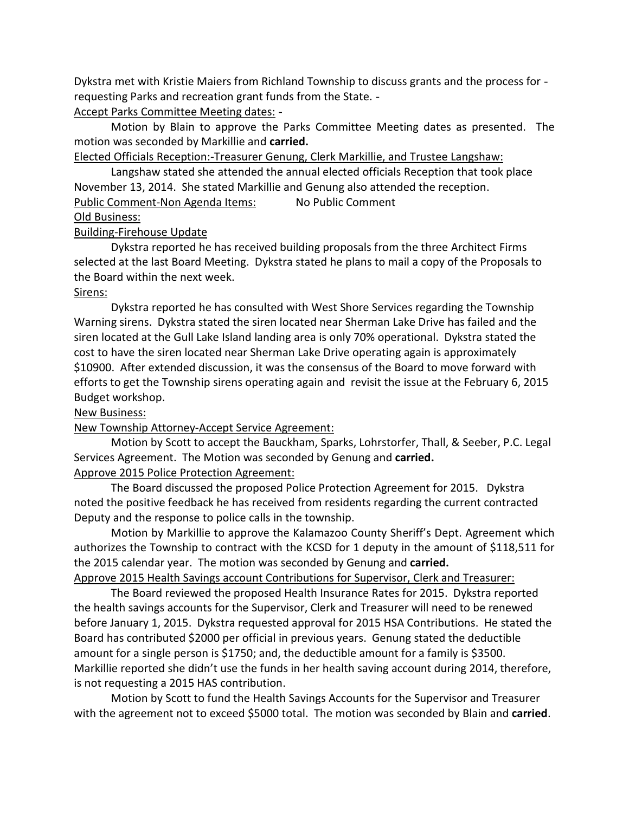Dykstra met with Kristie Maiers from Richland Township to discuss grants and the process for requesting Parks and recreation grant funds from the State. Accept Parks Committee Meeting dates: -

 Motion by Blain to approve the Parks Committee Meeting dates as presented. The motion was seconded by Markillie and **carried.** 

Elected Officials Reception:-Treasurer Genung, Clerk Markillie, and Trustee Langshaw:

 Langshaw stated she attended the annual elected officials Reception that took place November 13, 2014. She stated Markillie and Genung also attended the reception. Public Comment-Non Agenda Items: No Public Comment

## Old Business:

### Building-Firehouse Update

 Dykstra reported he has received building proposals from the three Architect Firms selected at the last Board Meeting. Dykstra stated he plans to mail a copy of the Proposals to the Board within the next week.

#### Sirens:

 Dykstra reported he has consulted with West Shore Services regarding the Township Warning sirens. Dykstra stated the siren located near Sherman Lake Drive has failed and the siren located at the Gull Lake Island landing area is only 70% operational. Dykstra stated the cost to have the siren located near Sherman Lake Drive operating again is approximately \$10900. After extended discussion, it was the consensus of the Board to move forward with efforts to get the Township sirens operating again and revisit the issue at the February 6, 2015 Budget workshop.

#### **New Business:**

#### New Township Attorney-Accept Service Agreement:

 Motion by Scott to accept the Bauckham, Sparks, Lohrstorfer, Thall, & Seeber, P.C. Legal Services Agreement. The Motion was seconded by Genung and **carried.** 

# Approve 2015 Police Protection Agreement:

 noted the positive feedback he has received from residents regarding the current contracted Deputy and the response to police calls in the township. The Board discussed the proposed Police Protection Agreement for 2015. Dykstra

 Motion by Markillie to approve the Kalamazoo County Sheriff's Dept. Agreement which authorizes the Township to contract with the KCSD for 1 deputy in the amount of \$118,511 for the 2015 calendar year. The motion was seconded by Genung and **carried.** 

Approve 2015 Health Savings account Contributions for Supervisor, Clerk and Treasurer:

 the health savings accounts for the Supervisor, Clerk and Treasurer will need to be renewed before January 1, 2015. Dykstra requested approval for 2015 HSA Contributions. He stated the Board has contributed \$2000 per official in previous years. Genung stated the deductible amount for a single person is \$1750; and, the deductible amount for a family is \$3500. Markillie reported she didn't use the funds in her health saving account during 2014, therefore, is not requesting a 2015 HAS contribution. The Board reviewed the proposed Health Insurance Rates for 2015. Dykstra reported

 Motion by Scott to fund the Health Savings Accounts for the Supervisor and Treasurer with the agreement not to exceed \$5000 total. The motion was seconded by Blain and **carried**.